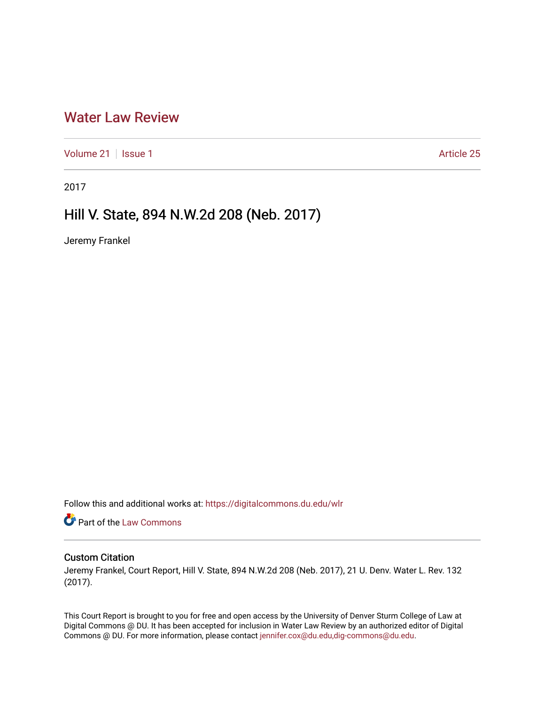## [Water Law Review](https://digitalcommons.du.edu/wlr)

[Volume 21](https://digitalcommons.du.edu/wlr/vol21) | [Issue 1](https://digitalcommons.du.edu/wlr/vol21/iss1) Article 25

2017

# Hill V. State, 894 N.W.2d 208 (Neb. 2017)

Jeremy Frankel

Follow this and additional works at: [https://digitalcommons.du.edu/wlr](https://digitalcommons.du.edu/wlr?utm_source=digitalcommons.du.edu%2Fwlr%2Fvol21%2Fiss1%2F25&utm_medium=PDF&utm_campaign=PDFCoverPages) 

Part of the [Law Commons](http://network.bepress.com/hgg/discipline/578?utm_source=digitalcommons.du.edu%2Fwlr%2Fvol21%2Fiss1%2F25&utm_medium=PDF&utm_campaign=PDFCoverPages)

## Custom Citation

Jeremy Frankel, Court Report, Hill V. State, 894 N.W.2d 208 (Neb. 2017), 21 U. Denv. Water L. Rev. 132 (2017).

This Court Report is brought to you for free and open access by the University of Denver Sturm College of Law at Digital Commons @ DU. It has been accepted for inclusion in Water Law Review by an authorized editor of Digital Commons @ DU. For more information, please contact [jennifer.cox@du.edu,dig-commons@du.edu.](mailto:jennifer.cox@du.edu,dig-commons@du.edu)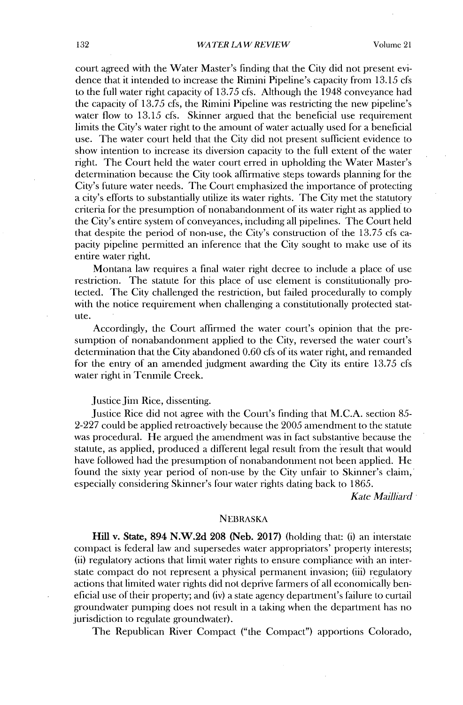court agreed with the Water Master's finding that the City **did** not present evidence that it intended to increase the Rimini Pipeline's capacity from **13.15** cfs to the full water right capacity of *13.75* cfs. Although the 1948 conveyance had the capacity of **13.75** cfs, the Rimini Pipeline was restricting the new pipeline's water flow to **13.15** cfs. Skinner argued that the beneficial use requirement limits the City's water right to the amount of water actually used for a beneficial use. The water court held that the City **did** not present sufficient evidence to show intention to increase its diversion capacity to the full extent of the water right. The Court held the water court erred in upholding the Water Master's determination because the City took affirmative steps towards planning for the City's future water needs. The Court emphasized the importance of protecting a city's efforts to substantially utilize its water rights. The City met the statutory criteria for the presumption of nonabandonment of its water right as applied to the City's entire system of conveyances, including all pipelines. The Court held that despite the period of non-use, the City's construction of the *13.75* cfs capacity pipeline permitted an inference that the City sought to make use of **its** entire water right.

Montana law requires a final water right decree to include a place of use restriction. The statute for this place of use element is constitutionally **pro**tected. The City challenged the restriction, but failed procedurally to comply with the notice requirement when challenging a constitutionally protected statute.

Accordingly, the Court affirmed the water court's opinion that the presumption of nonabandonment applied to the City, reversed the water court's detenination that the City abandoned **0.60** cfs of its water right, and remanded for the entry of an amended judgment awarding the City its entire *13.75* cfs water right in Tenmile Creek.

Justice Jim Rice, dissenting.

Justice Rice **did** not agree with the Court's finding that **M.C.A.** section *85-* **2-227** could be applied retroactively because the **2005** amendment to the statute was procedural. He argued the amendment was in fact substantive because the statute, as applied, produced a different legal result from the result that would have followed had the presumption of nonabandonment not been applied. He found the sixty year period of non-use **by** the City unfair to Skinner's claim, especially considering Skinner's four water rights dating back to **1865.**

*Kate Mailliard*

#### NEBRASKA

Hill v. State, 894 **N.W.2d 208** (Neb. **2017)** (holding that: **(i)** an interstate compact is federal law and supersedes water appropriators' property interests; (ii) regulatory actions that limit water rights to ensure compliance with an interstate compact do not represent a physical permanent invasion; **(iii)** regulatory actions that limited water rights **did** not deprive farmers of all economically beneficial use of their property; and (iv) a state agency department's failure to curtail groundwater pumping does not result in a taking when the department has no jurisdiction to regulate groundwater).

The Republican River Compact ("the Compact") apportions Colorado,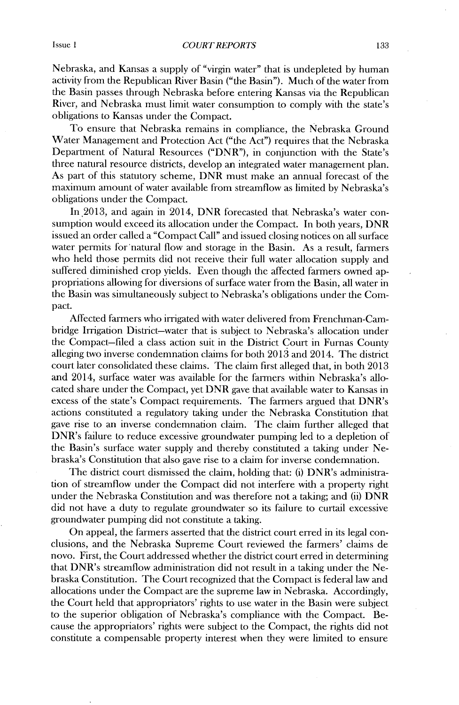Nebraska, and Kansas a supply of "virgin water" that is undepleted **by** human activity from the Republican River Basin ("the Basin"). Much of the water from the Basin passes through Nebraska before entering Kansas via the Republican River, and Nebraska must limit water consumption to comply **with** the state's obligations to Kansas under the Compact.

To ensure that Nebraska remains in compliance, the Nebraska Ground Water Management and Protection Act ("the Act") requires that the Nebraska Department of Natural Resources ("DNR"), in conjunction with the State's three natural resource districts, develop an integrated water management plan. As part of this statutory scheme, DNR must make an annual forecast of the maximum amount of water available from streamflow as limited **by** Nebraska's obligations under the Compact.

In.2013, and again in 2014, DNR forecasted that Nebraska's water consumption would exceed its allocation under the Compact. In both years, DNR issued an order called a "Compact Call" and issued closing notices on all surface water permits for natural flow and storage in the Basin. As a result, farmers who held those permits **did** not receive their full water allocation supply and suffered diminished crop yields. Even though the affected farmers owned appropriations allowing for diversions of surface water from the Basin, all water in the Basin was simultaneously subject to Nebraska's obligations under the Compact.

Affected farmers who irrigated **with** water delivered from Frenchman-Canbridge Irrigation District-water that is subject to Nebraska's allocation under the Compact-filed a class action suit in the District Court in Furnas County alleging two inverse condemnation claims for both **2013** and 2014. The district court later consolidated these claims. The claim first alleged that, in both **2013** and 2014, surface water was available for the farmers within Nebraska's allocated share under the Compact, yet DNR gave that available water to Kansas in excess of the state's Compact requirements. The farmers argued that DNR's actions constituted a regulatory taking under the Nebraska Constitution that gave rise to an inverse condemnation claim. The claim further alleged that DNR's failure to reduce excessive groundwater pumping led to a depletion of the Basin's surface water supply and thereby constituted a taking under Nebraska's Constitution that also gave rise to a claim for inverse condemnation.

The district court dismissed the claim, holding that: **(i)** DNR's administration of streamflow under the Compact **did** not interfere with a property right under the Nebraska Constitution and was therefore not a taking; and **(ii)** DNR **did** not have a duty to regulate groundwater so its failure to curtail excessive groundwater pumping did not constitute a taking.

On appeal, the farmers asserted that the district court erred in its legal conclusions, and the Nebraska Supreme Court reviewed the farmers' claims de novo. First, the Court addressed whether the district court erred in determining that DNR's streamflow administration **did** not result in a taking under the Nebraska Constitution. The Court recognized that the Compact is federal law and allocations under the Compact are the supreme law in Nebraska. Accordingly, the Court held that appropriators' rights to use water in the Basin were subject to the superior obligation of Nebraska's compliance with the Compact. Because the appropriators' rights were subject to the Compact, the rights **did** not constitute a compensable property interest when they were limited to ensure